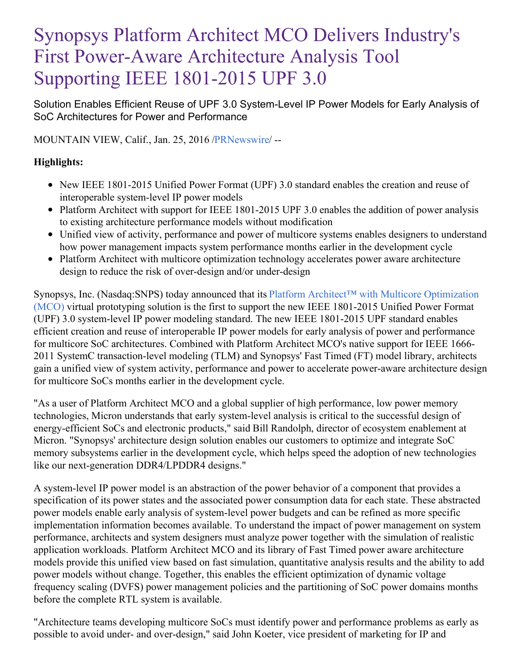# Synopsys Platform Architect MCO Delivers Industry's First Power-Aware Architecture Analysis Tool Supporting IEEE 1801-2015 UPF 3.0

Solution Enables Efficient Reuse of UPF 3.0 System-Level IP Power Models for Early Analysis of SoC Architectures for Power and Performance

MOUNTAIN VIEW, Calif., Jan. 25, 2016 [/PRNewswire](http://www.prnewswire.com/)/ --

## **Highlights:**

- New IEEE 1801-2015 Unified Power Format (UPF) 3.0 standard enables the creation and reuse of interoperable system-level IP power models
- Platform Architect with support for IEEE 1801-2015 UPF 3.0 enables the addition of power analysis to existing architecture performance models without modification
- Unified view of activity, performance and power of multicore systems enables designers to understand how power management impacts system performance months earlier in the development cycle
- Platform Architect with multicore optimization technology accelerates power aware architecture design to reduce the risk of over-design and/or under-design

Synopsys, Inc. [\(Nasdaq:SNPS\)](http://www.synopsys.com/Prototyping/ArchitectureDesign/pages/platform-architect.aspx) today announced that its Platform Architect™ with Multicore Optimization (MCO) virtual prototyping solution is the first to support the new IEEE 1801-2015 Unified Power Format (UPF) 3.0 system-level IP power modeling standard. The new IEEE 1801-2015 UPF standard enables efficient creation and reuse of interoperable IP power models for early analysis of power and performance for multicore SoC architectures. Combined with Platform Architect MCO's native support for IEEE 1666- 2011 SystemC transaction-level modeling (TLM) and Synopsys' Fast Timed (FT) model library, architects gain a unified view of system activity, performance and power to accelerate power-aware architecture design for multicore SoCs months earlier in the development cycle.

"As a user of Platform Architect MCO and a global supplier of high performance, low power memory technologies, Micron understands that early system-level analysis is critical to the successful design of energy-efficient SoCs and electronic products," said Bill Randolph, director of ecosystem enablement at Micron. "Synopsys' architecture design solution enables our customers to optimize and integrate SoC memory subsystems earlier in the development cycle, which helps speed the adoption of new technologies like our next-generation DDR4/LPDDR4 designs."

A system-level IP power model is an abstraction of the power behavior of a component that provides a specification of its power states and the associated power consumption data for each state. These abstracted power models enable early analysis of system-level power budgets and can be refined as more specific implementation information becomes available. To understand the impact of power management on system performance, architects and system designers must analyze power together with the simulation of realistic application workloads. Platform Architect MCO and its library of Fast Timed power aware architecture models provide this unified view based on fast simulation, quantitative analysis results and the ability to add power models without change. Together, this enables the efficient optimization of dynamic voltage frequency scaling (DVFS) power management policies and the partitioning of SoC power domains months before the complete RTL system is available.

"Architecture teams developing multicore SoCs must identify power and performance problems as early as possible to avoid under- and over-design," said John Koeter, vice president of marketing for IP and